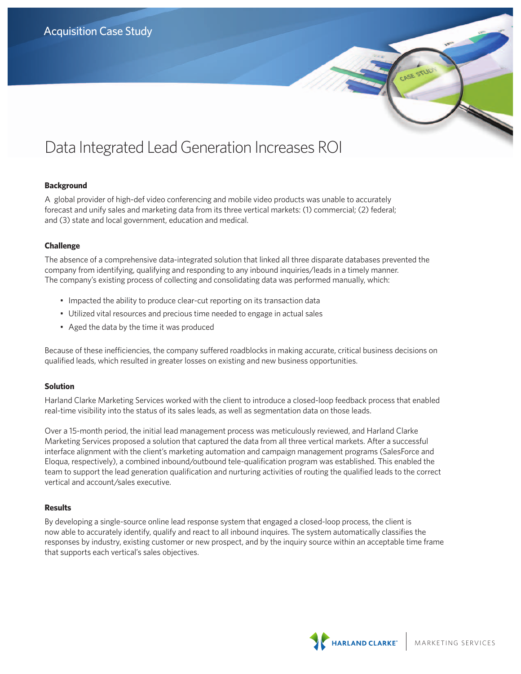# Data Integrated Lead Generation Increases ROI

## **Background**

A global provider of high-def video conferencing and mobile video products was unable to accurately forecast and unify sales and marketing data from its three vertical markets: (1) commercial; (2) federal; and (3) state and local government, education and medical.

## **Challenge**

The absence of a comprehensive data-integrated solution that linked all three disparate databases prevented the company from identifying, qualifying and responding to any inbound inquiries/leads in a timely manner. The company's existing process of collecting and consolidating data was performed manually, which:

- Impacted the ability to produce clear-cut reporting on its transaction data
- Utilized vital resources and precious time needed to engage in actual sales
- • Aged the data by the time it was produced

Because of these inefficiencies, the company suffered roadblocks in making accurate, critical business decisions on qualified leads, which resulted in greater losses on existing and new business opportunities.

## **Solution**

Harland Clarke Marketing Services worked with the client to introduce a closed-loop feedback process that enabled real-time visibility into the status of its sales leads, as well as segmentation data on those leads.

Over a 15-month period, the initial lead management process was meticulously reviewed, and Harland Clarke Marketing Services proposed a solution that captured the data from all three vertical markets. After a successful interface alignment with the client's marketing automation and campaign management programs (SalesForce and Eloqua, respectively), a combined inbound/outbound tele-qualification program was established. This enabled the team to support the lead generation qualification and nurturing activities of routing the qualified leads to the correct vertical and account/sales executive.

## **Results**

By developing a single-source online lead response system that engaged a closed-loop process, the client is now able to accurately identify, qualify and react to all inbound inquires. The system automatically classifies the responses by industry, existing customer or new prospect, and by the inquiry source within an acceptable time frame that supports each vertical's sales objectives.